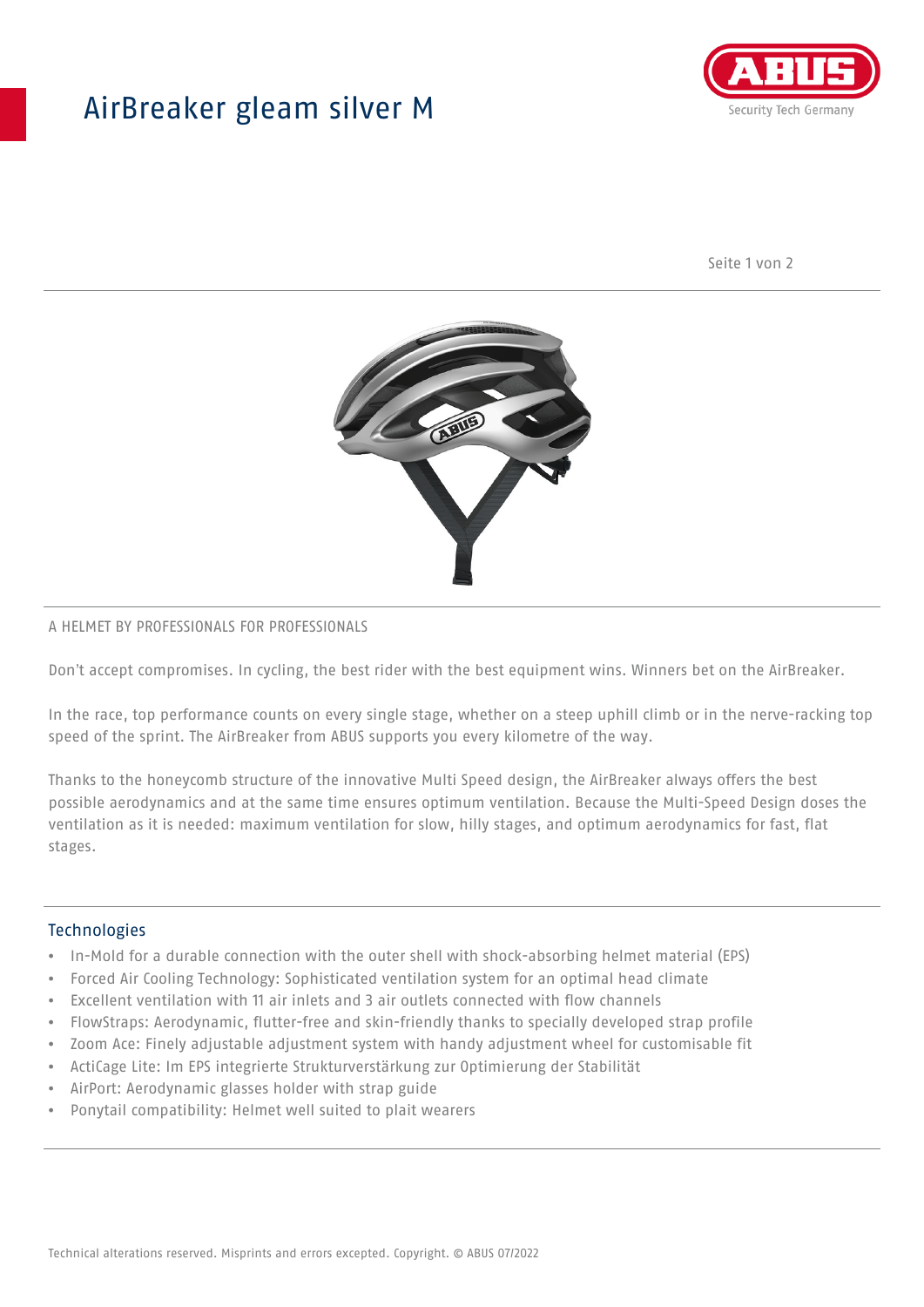## AirBreaker gleam silver M



Seite 1 von 2



#### A HELMET BY PROFESSIONALS FOR PROFESSIONALS

Don't accept compromises. In cycling, the best rider with the best equipment wins. Winners bet on the AirBreaker.

In the race, top performance counts on every single stage, whether on a steep uphill climb or in the nerve-racking top speed of the sprint. The AirBreaker from ABUS supports you every kilometre of the way.

Thanks to the honeycomb structure of the innovative Multi Speed design, the AirBreaker always offers the best possible aerodynamics and at the same time ensures optimum ventilation. Because the Multi-Speed Design doses the ventilation as it is needed: maximum ventilation for slow, hilly stages, and optimum aerodynamics for fast, flat stages.

#### **Technologies**

- In-Mold for a durable connection with the outer shell with shock-absorbing helmet material (EPS)
- Forced Air Cooling Technology: Sophisticated ventilation system for an optimal head climate
- Excellent ventilation with 11 air inlets and 3 air outlets connected with flow channels
- FlowStraps: Aerodynamic, flutter-free and skin-friendly thanks to specially developed strap profile
- Zoom Ace: Finely adjustable adjustment system with handy adjustment wheel for customisable fit
- ActiCage Lite: Im EPS integrierte Strukturverstärkung zur Optimierung der Stabilität
- AirPort: Aerodynamic glasses holder with strap guide
- Ponytail compatibility: Helmet well suited to plait wearers